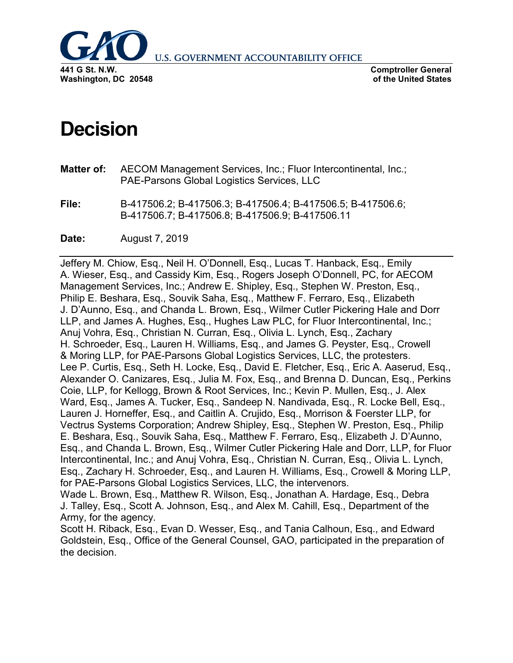

**U.S. GOVERNMENT ACCOUNTABILITY OFFICE** 

**Comptroller General of the United States**

# **Decision**

- **Matter of:** AECOM Management Services, Inc.; Fluor Intercontinental, Inc.; PAE-Parsons Global Logistics Services, LLC
- **File:** B-417506.2; B-417506.3; B-417506.4; B-417506.5; B-417506.6; B-417506.7; B-417506.8; B-417506.9; B-417506.11
- **Date:** August 7, 2019

Jeffery M. Chiow, Esq., Neil H. O'Donnell, Esq., Lucas T. Hanback, Esq., Emily A. Wieser, Esq., and Cassidy Kim, Esq., Rogers Joseph O'Donnell, PC, for AECOM Management Services, Inc.; Andrew E. Shipley, Esq., Stephen W. Preston, Esq., Philip E. Beshara, Esq., Souvik Saha, Esq., Matthew F. Ferraro, Esq., Elizabeth J. D'Aunno, Esq., and Chanda L. Brown, Esq., Wilmer Cutler Pickering Hale and Dorr LLP, and James A. Hughes, Esq., Hughes Law PLC, for Fluor Intercontinental, Inc.; Anuj Vohra, Esq., Christian N. Curran, Esq., Olivia L. Lynch, Esq., Zachary H. Schroeder, Esq., Lauren H. Williams, Esq., and James G. Peyster, Esq., Crowell & Moring LLP, for PAE-Parsons Global Logistics Services, LLC, the protesters. Lee P. Curtis, Esq., Seth H. Locke, Esq., David E. Fletcher, Esq., Eric A. Aaserud, Esq., Alexander O. Canizares, Esq., Julia M. Fox, Esq., and Brenna D. Duncan, Esq., Perkins Coie, LLP, for Kellogg, Brown & Root Services, Inc.; Kevin P. Mullen, Esq., J. Alex Ward, Esq., James A. Tucker, Esq., Sandeep N. Nandivada, Esq., R. Locke Bell, Esq., Lauren J. Horneffer, Esq., and Caitlin A. Crujido, Esq., Morrison & Foerster LLP, for Vectrus Systems Corporation; Andrew Shipley, Esq., Stephen W. Preston, Esq., Philip E. Beshara, Esq., Souvik Saha, Esq., Matthew F. Ferraro, Esq., Elizabeth J. D'Aunno, Esq., and Chanda L. Brown, Esq., Wilmer Cutler Pickering Hale and Dorr, LLP, for Fluor Intercontinental, Inc.; and Anuj Vohra, Esq., Christian N. Curran, Esq., Olivia L. Lynch, Esq., Zachary H. Schroeder, Esq., and Lauren H. Williams, Esq., Crowell & Moring LLP, for PAE-Parsons Global Logistics Services, LLC, the intervenors. Wade L. Brown, Esq., Matthew R. Wilson, Esq., Jonathan A. Hardage, Esq., Debra J. Talley, Esq., Scott A. Johnson, Esq., and Alex M. Cahill, Esq., Department of the Army, for the agency.

Scott H. Riback, Esq., Evan D. Wesser, Esq., and Tania Calhoun, Esq., and Edward Goldstein, Esq., Office of the General Counsel, GAO, participated in the preparation of the decision.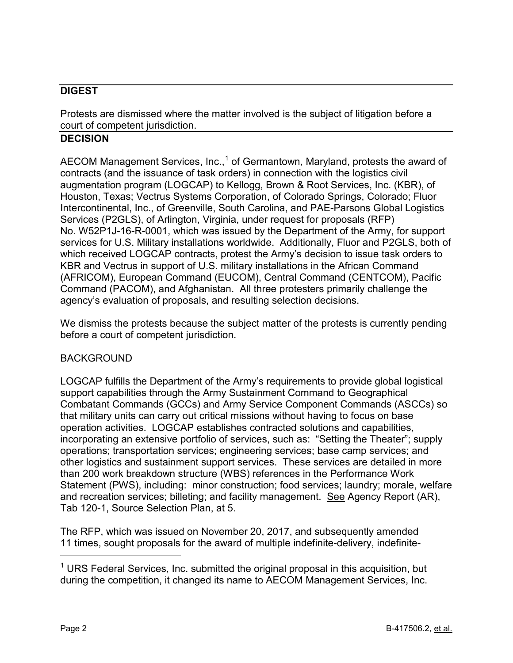## **DIGEST**

Protests are dismissed where the matter involved is the subject of litigation before a court of competent jurisdiction.

## **DECISION**

AECOM Management Services, Inc., $1$  of Germantown, Maryland, protests the award of contracts (and the issuance of task orders) in connection with the logistics civil augmentation program (LOGCAP) to Kellogg, Brown & Root Services, Inc. (KBR), of Houston, Texas; Vectrus Systems Corporation, of Colorado Springs, Colorado; Fluor Intercontinental, Inc., of Greenville, South Carolina, and PAE-Parsons Global Logistics Services (P2GLS), of Arlington, Virginia, under request for proposals (RFP) No. W52P1J-16-R-0001, which was issued by the Department of the Army, for support services for U.S. Military installations worldwide. Additionally, Fluor and P2GLS, both of which received LOGCAP contracts, protest the Army's decision to issue task orders to KBR and Vectrus in support of U.S. military installations in the African Command (AFRICOM), European Command (EUCOM), Central Command (CENTCOM), Pacific Command (PACOM), and Afghanistan. All three protesters primarily challenge the agency's evaluation of proposals, and resulting selection decisions.

We dismiss the protests because the subject matter of the protests is currently pending before a court of competent jurisdiction.

#### BACKGROUND

LOGCAP fulfills the Department of the Army's requirements to provide global logistical support capabilities through the Army Sustainment Command to Geographical Combatant Commands (GCCs) and Army Service Component Commands (ASCCs) so that military units can carry out critical missions without having to focus on base operation activities. LOGCAP establishes contracted solutions and capabilities, incorporating an extensive portfolio of services, such as: "Setting the Theater"; supply operations; transportation services; engineering services; base camp services; and other logistics and sustainment support services. These services are detailed in more than 200 work breakdown structure (WBS) references in the Performance Work Statement (PWS), including: minor construction; food services; laundry; morale, welfare and recreation services; billeting; and facility management. See Agency Report (AR), Tab 120-1, Source Selection Plan, at 5.

The RFP, which was issued on November 20, 2017, and subsequently amended 11 times, sought proposals for the award of multiple indefinite-delivery, indefinite-

<span id="page-1-0"></span> $1$  URS Federal Services, Inc. submitted the original proposal in this acquisition, but during the competition, it changed its name to AECOM Management Services, Inc.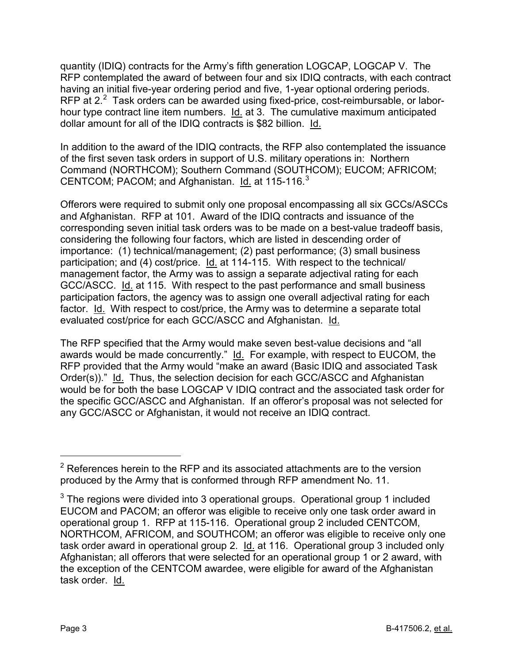quantity (IDIQ) contracts for the Army's fifth generation LOGCAP, LOGCAP V. The RFP contemplated the award of between four and six IDIQ contracts, with each contract having an initial five-year ordering period and five, 1-year optional ordering periods. RFP at  $2.2$  $2.2$  Task orders can be awarded using fixed-price, cost-reimbursable, or laborhour type contract line item numbers. Id. at 3. The cumulative maximum anticipated dollar amount for all of the IDIQ contracts is \$82 billion. Id.

In addition to the award of the IDIQ contracts, the RFP also contemplated the issuance of the first seven task orders in support of U.S. military operations in: Northern Command (NORTHCOM); Southern Command (SOUTHCOM); EUCOM; AFRICOM; CENTCOM; PACOM; and Afghanistan. Id. at 115-116.<sup>[3](#page-2-1)</sup>

Offerors were required to submit only one proposal encompassing all six GCCs/ASCCs and Afghanistan. RFP at 101. Award of the IDIQ contracts and issuance of the corresponding seven initial task orders was to be made on a best-value tradeoff basis, considering the following four factors, which are listed in descending order of importance: (1) technical/management; (2) past performance; (3) small business participation; and (4) cost/price. Id. at 114-115. With respect to the technical/ management factor, the Army was to assign a separate adjectival rating for each GCC/ASCC. Id. at 115. With respect to the past performance and small business participation factors, the agency was to assign one overall adjectival rating for each factor. Id. With respect to cost/price, the Army was to determine a separate total evaluated cost/price for each GCC/ASCC and Afghanistan. Id.

The RFP specified that the Army would make seven best-value decisions and "all awards would be made concurrently." Id. For example, with respect to EUCOM, the RFP provided that the Army would "make an award (Basic IDIQ and associated Task Order(s))." Id. Thus, the selection decision for each GCC/ASCC and Afghanistan would be for both the base LOGCAP V IDIQ contract and the associated task order for the specific GCC/ASCC and Afghanistan. If an offeror's proposal was not selected for any GCC/ASCC or Afghanistan, it would not receive an IDIQ contract.

<span id="page-2-0"></span> $2$  References herein to the RFP and its associated attachments are to the version produced by the Army that is conformed through RFP amendment No. 11.

<span id="page-2-1"></span> $3$  The regions were divided into 3 operational groups. Operational group 1 included EUCOM and PACOM; an offeror was eligible to receive only one task order award in operational group 1. RFP at 115-116. Operational group 2 included CENTCOM, NORTHCOM, AFRICOM, and SOUTHCOM; an offeror was eligible to receive only one task order award in operational group 2. Id. at 116. Operational group 3 included only Afghanistan; all offerors that were selected for an operational group 1 or 2 award, with the exception of the CENTCOM awardee, were eligible for award of the Afghanistan task order. Id.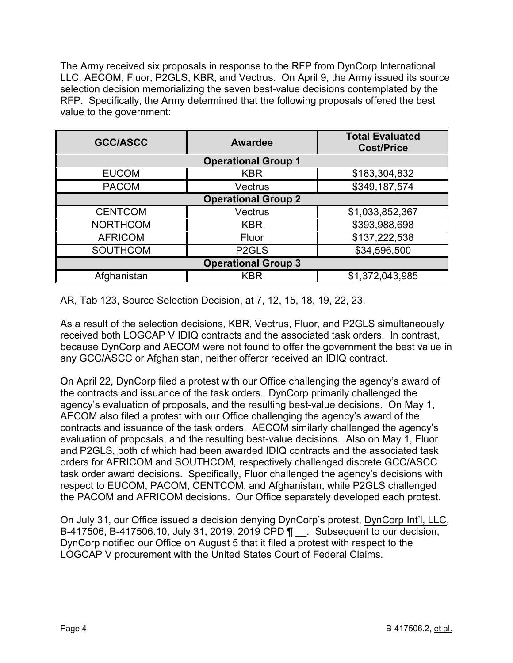The Army received six proposals in response to the RFP from DynCorp International LLC, AECOM, Fluor, P2GLS, KBR, and Vectrus. On April 9, the Army issued its source selection decision memorializing the seven best-value decisions contemplated by the RFP. Specifically, the Army determined that the following proposals offered the best value to the government:

| <b>GCC/ASCC</b>            | <b>Awardee</b>     | <b>Total Evaluated</b><br><b>Cost/Price</b> |
|----------------------------|--------------------|---------------------------------------------|
| <b>Operational Group 1</b> |                    |                                             |
| <b>EUCOM</b>               | <b>KBR</b>         | \$183,304,832                               |
| <b>PACOM</b>               | Vectrus            | \$349,187,574                               |
| <b>Operational Group 2</b> |                    |                                             |
| <b>CENTCOM</b>             | Vectrus            | \$1,033,852,367                             |
| <b>NORTHCOM</b>            | <b>KBR</b>         | \$393,988,698                               |
| <b>AFRICOM</b>             | Fluor              | \$137,222,538                               |
| <b>SOUTHCOM</b>            | P <sub>2</sub> GLS | \$34,596,500                                |
| <b>Operational Group 3</b> |                    |                                             |
| Afghanistan                | <b>KBR</b>         | \$1,372,043,985                             |

AR, Tab 123, Source Selection Decision, at 7, 12, 15, 18, 19, 22, 23.

As a result of the selection decisions, KBR, Vectrus, Fluor, and P2GLS simultaneously received both LOGCAP V IDIQ contracts and the associated task orders. In contrast, because DynCorp and AECOM were not found to offer the government the best value in any GCC/ASCC or Afghanistan, neither offeror received an IDIQ contract.

On April 22, DynCorp filed a protest with our Office challenging the agency's award of the contracts and issuance of the task orders. DynCorp primarily challenged the agency's evaluation of proposals, and the resulting best-value decisions. On May 1, AECOM also filed a protest with our Office challenging the agency's award of the contracts and issuance of the task orders. AECOM similarly challenged the agency's evaluation of proposals, and the resulting best-value decisions. Also on May 1, Fluor and P2GLS, both of which had been awarded IDIQ contracts and the associated task orders for AFRICOM and SOUTHCOM, respectively challenged discrete GCC/ASCC task order award decisions. Specifically, Fluor challenged the agency's decisions with respect to EUCOM, PACOM, CENTCOM, and Afghanistan, while P2GLS challenged the PACOM and AFRICOM decisions. Our Office separately developed each protest.

On July 31, our Office issued a decision denying DynCorp's protest, DynCorp Int'l, LLC, B-417506, B-417506.10, July 31, 2019, 2019 CPD ¶ \_\_. Subsequent to our decision, DynCorp notified our Office on August 5 that it filed a protest with respect to the LOGCAP V procurement with the United States Court of Federal Claims.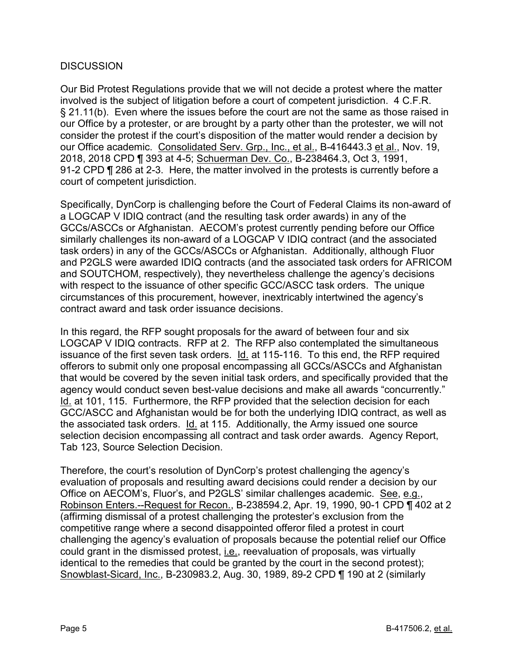### **DISCUSSION**

Our Bid Protest Regulations provide that we will not decide a protest where the matter involved is the subject of litigation before a court of competent jurisdiction. 4 C.F.R. § 21.11(b). Even where the issues before the court are not the same as those raised in our Office by a protester, or are brought by a party other than the protester, we will not consider the protest if the court's disposition of the matter would render a decision by our Office academic. Consolidated Serv. Grp., Inc., et al., B-416443.3 et al., Nov. 19, 2018, 2018 CPD ¶ 393 at 4-5; Schuerman Dev. Co., B-238464.3, Oct 3, 1991, 91-2 CPD ¶ 286 at 2-3. Here, the matter involved in the protests is currently before a court of competent jurisdiction.

Specifically, DynCorp is challenging before the Court of Federal Claims its non-award of a LOGCAP V IDIQ contract (and the resulting task order awards) in any of the GCCs/ASCCs or Afghanistan. AECOM's protest currently pending before our Office similarly challenges its non-award of a LOGCAP V IDIQ contract (and the associated task orders) in any of the GCCs/ASCCs or Afghanistan. Additionally, although Fluor and P2GLS were awarded IDIQ contracts (and the associated task orders for AFRICOM and SOUTCHOM, respectively), they nevertheless challenge the agency's decisions with respect to the issuance of other specific GCC/ASCC task orders. The unique circumstances of this procurement, however, inextricably intertwined the agency's contract award and task order issuance decisions.

In this regard, the RFP sought proposals for the award of between four and six LOGCAP V IDIQ contracts. RFP at 2. The RFP also contemplated the simultaneous issuance of the first seven task orders. Id. at 115-116. To this end, the RFP required offerors to submit only one proposal encompassing all GCCs/ASCCs and Afghanistan that would be covered by the seven initial task orders, and specifically provided that the agency would conduct seven best-value decisions and make all awards "concurrently." Id. at 101, 115. Furthermore, the RFP provided that the selection decision for each GCC/ASCC and Afghanistan would be for both the underlying IDIQ contract, as well as the associated task orders. Id. at 115. Additionally, the Army issued one source selection decision encompassing all contract and task order awards. Agency Report, Tab 123, Source Selection Decision.

Therefore, the court's resolution of DynCorp's protest challenging the agency's evaluation of proposals and resulting award decisions could render a decision by our Office on AECOM's, Fluor's, and P2GLS' similar challenges academic. See, e.g., Robinson Enters.--Request for Recon., B-238594.2, Apr. 19, 1990, 90-1 CPD ¶ 402 at 2 (affirming dismissal of a protest challenging the protester's exclusion from the competitive range where a second disappointed offeror filed a protest in court challenging the agency's evaluation of proposals because the potential relief our Office could grant in the dismissed protest, i.e., reevaluation of proposals, was virtually identical to the remedies that could be granted by the court in the second protest); Snowblast-Sicard, Inc., B-230983.2, Aug. 30, 1989, 89-2 CPD ¶ 190 at 2 (similarly